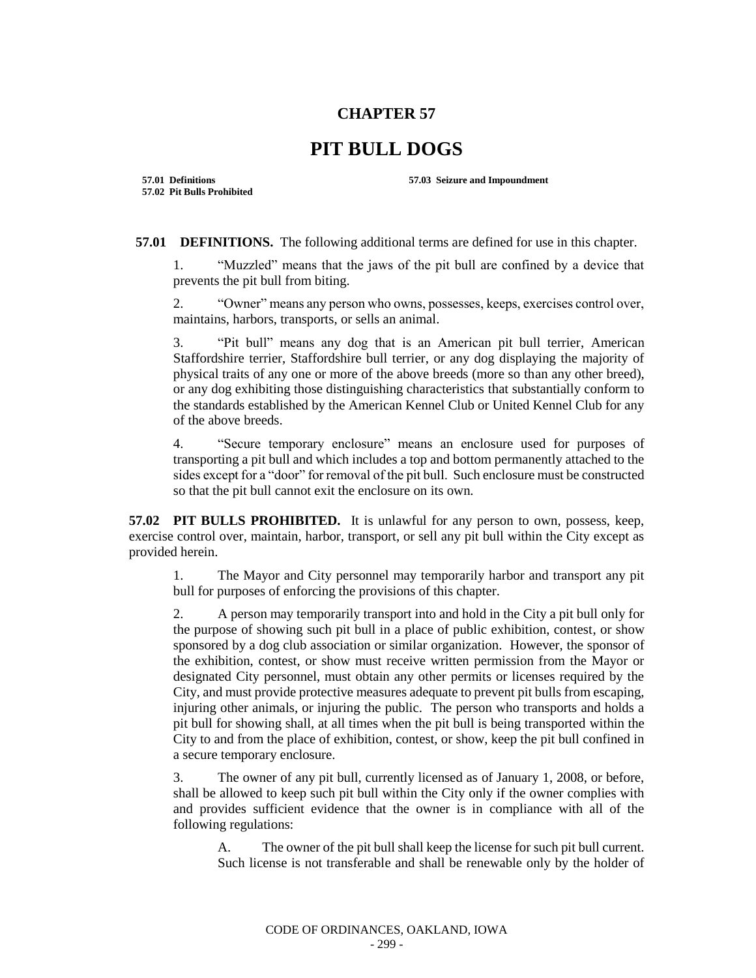## **CHAPTER 57**

## **PIT BULL DOGS**

**57.02 Pit Bulls Prohibited**

**57.01 Definitions 57.03 Seizure and Impoundment**

**57.01 DEFINITIONS.** The following additional terms are defined for use in this chapter.

1. "Muzzled" means that the jaws of the pit bull are confined by a device that prevents the pit bull from biting.

2. "Owner" means any person who owns, possesses, keeps, exercises control over, maintains, harbors, transports, or sells an animal.

3. "Pit bull" means any dog that is an American pit bull terrier, American Staffordshire terrier, Staffordshire bull terrier, or any dog displaying the majority of physical traits of any one or more of the above breeds (more so than any other breed), or any dog exhibiting those distinguishing characteristics that substantially conform to the standards established by the American Kennel Club or United Kennel Club for any of the above breeds.

4. "Secure temporary enclosure" means an enclosure used for purposes of transporting a pit bull and which includes a top and bottom permanently attached to the sides except for a "door" for removal of the pit bull. Such enclosure must be constructed so that the pit bull cannot exit the enclosure on its own.

**57.02 PIT BULLS PROHIBITED.** It is unlawful for any person to own, possess, keep, exercise control over, maintain, harbor, transport, or sell any pit bull within the City except as provided herein.

1. The Mayor and City personnel may temporarily harbor and transport any pit bull for purposes of enforcing the provisions of this chapter.

2. A person may temporarily transport into and hold in the City a pit bull only for the purpose of showing such pit bull in a place of public exhibition, contest, or show sponsored by a dog club association or similar organization. However, the sponsor of the exhibition, contest, or show must receive written permission from the Mayor or designated City personnel, must obtain any other permits or licenses required by the City, and must provide protective measures adequate to prevent pit bulls from escaping, injuring other animals, or injuring the public. The person who transports and holds a pit bull for showing shall, at all times when the pit bull is being transported within the City to and from the place of exhibition, contest, or show, keep the pit bull confined in a secure temporary enclosure.

3. The owner of any pit bull, currently licensed as of January 1, 2008, or before, shall be allowed to keep such pit bull within the City only if the owner complies with and provides sufficient evidence that the owner is in compliance with all of the following regulations:

A. The owner of the pit bull shall keep the license for such pit bull current. Such license is not transferable and shall be renewable only by the holder of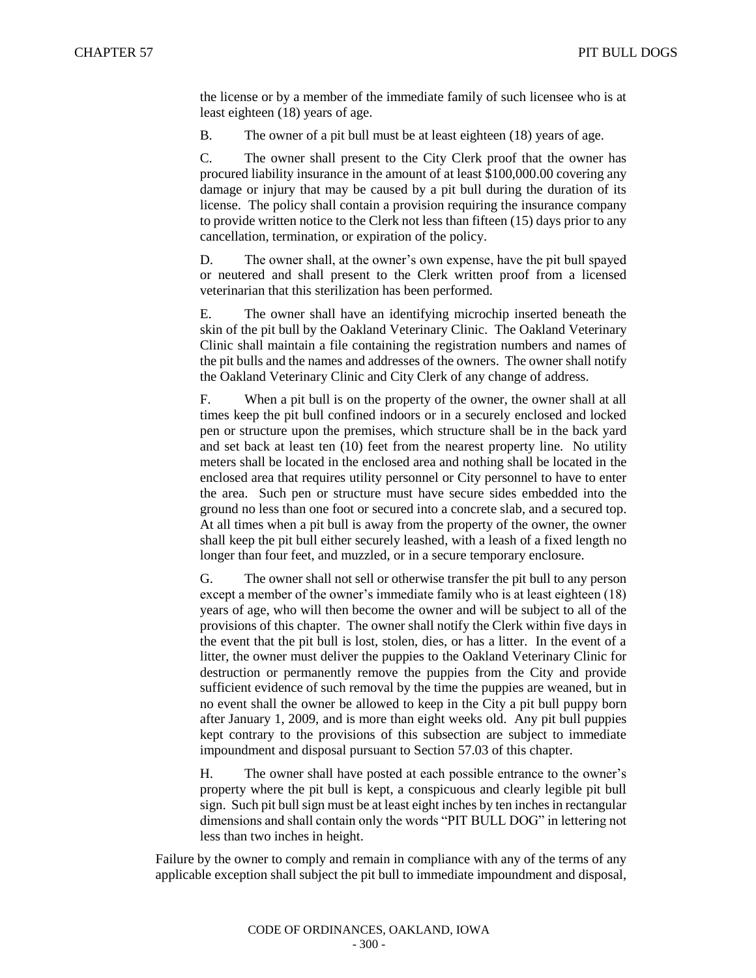the license or by a member of the immediate family of such licensee who is at least eighteen (18) years of age.

B. The owner of a pit bull must be at least eighteen (18) years of age.

C. The owner shall present to the City Clerk proof that the owner has procured liability insurance in the amount of at least \$100,000.00 covering any damage or injury that may be caused by a pit bull during the duration of its license. The policy shall contain a provision requiring the insurance company to provide written notice to the Clerk not less than fifteen (15) days prior to any cancellation, termination, or expiration of the policy.

D. The owner shall, at the owner's own expense, have the pit bull spayed or neutered and shall present to the Clerk written proof from a licensed veterinarian that this sterilization has been performed.

E. The owner shall have an identifying microchip inserted beneath the skin of the pit bull by the Oakland Veterinary Clinic. The Oakland Veterinary Clinic shall maintain a file containing the registration numbers and names of the pit bulls and the names and addresses of the owners. The owner shall notify the Oakland Veterinary Clinic and City Clerk of any change of address.

F. When a pit bull is on the property of the owner, the owner shall at all times keep the pit bull confined indoors or in a securely enclosed and locked pen or structure upon the premises, which structure shall be in the back yard and set back at least ten (10) feet from the nearest property line. No utility meters shall be located in the enclosed area and nothing shall be located in the enclosed area that requires utility personnel or City personnel to have to enter the area. Such pen or structure must have secure sides embedded into the ground no less than one foot or secured into a concrete slab, and a secured top. At all times when a pit bull is away from the property of the owner, the owner shall keep the pit bull either securely leashed, with a leash of a fixed length no longer than four feet, and muzzled, or in a secure temporary enclosure.

G. The owner shall not sell or otherwise transfer the pit bull to any person except a member of the owner's immediate family who is at least eighteen (18) years of age, who will then become the owner and will be subject to all of the provisions of this chapter. The owner shall notify the Clerk within five days in the event that the pit bull is lost, stolen, dies, or has a litter. In the event of a litter, the owner must deliver the puppies to the Oakland Veterinary Clinic for destruction or permanently remove the puppies from the City and provide sufficient evidence of such removal by the time the puppies are weaned, but in no event shall the owner be allowed to keep in the City a pit bull puppy born after January 1, 2009, and is more than eight weeks old. Any pit bull puppies kept contrary to the provisions of this subsection are subject to immediate impoundment and disposal pursuant to Section 57.03 of this chapter.

H. The owner shall have posted at each possible entrance to the owner's property where the pit bull is kept, a conspicuous and clearly legible pit bull sign. Such pit bull sign must be at least eight inches by ten inches in rectangular dimensions and shall contain only the words "PIT BULL DOG" in lettering not less than two inches in height.

Failure by the owner to comply and remain in compliance with any of the terms of any applicable exception shall subject the pit bull to immediate impoundment and disposal,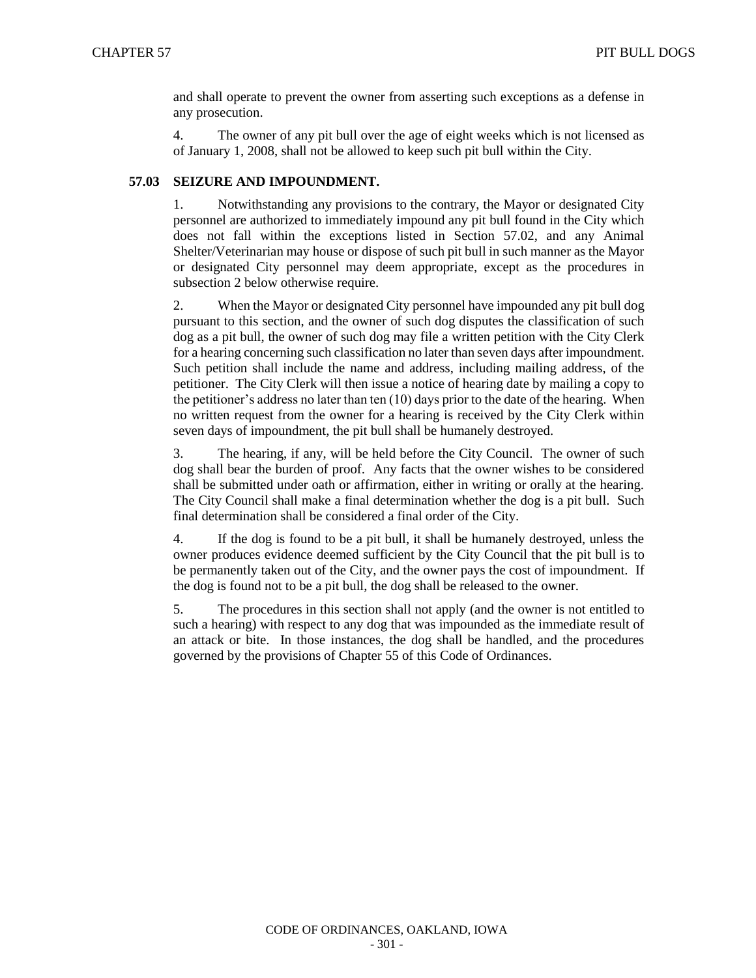and shall operate to prevent the owner from asserting such exceptions as a defense in any prosecution.

4. The owner of any pit bull over the age of eight weeks which is not licensed as of January 1, 2008, shall not be allowed to keep such pit bull within the City.

## **57.03 SEIZURE AND IMPOUNDMENT.**

1. Notwithstanding any provisions to the contrary, the Mayor or designated City personnel are authorized to immediately impound any pit bull found in the City which does not fall within the exceptions listed in Section 57.02, and any Animal Shelter/Veterinarian may house or dispose of such pit bull in such manner as the Mayor or designated City personnel may deem appropriate, except as the procedures in subsection 2 below otherwise require.

2. When the Mayor or designated City personnel have impounded any pit bull dog pursuant to this section, and the owner of such dog disputes the classification of such dog as a pit bull, the owner of such dog may file a written petition with the City Clerk for a hearing concerning such classification no later than seven days after impoundment. Such petition shall include the name and address, including mailing address, of the petitioner. The City Clerk will then issue a notice of hearing date by mailing a copy to the petitioner's address no later than ten (10) days prior to the date of the hearing. When no written request from the owner for a hearing is received by the City Clerk within seven days of impoundment, the pit bull shall be humanely destroyed.

3. The hearing, if any, will be held before the City Council. The owner of such dog shall bear the burden of proof. Any facts that the owner wishes to be considered shall be submitted under oath or affirmation, either in writing or orally at the hearing. The City Council shall make a final determination whether the dog is a pit bull. Such final determination shall be considered a final order of the City.

4. If the dog is found to be a pit bull, it shall be humanely destroyed, unless the owner produces evidence deemed sufficient by the City Council that the pit bull is to be permanently taken out of the City, and the owner pays the cost of impoundment. If the dog is found not to be a pit bull, the dog shall be released to the owner.

5. The procedures in this section shall not apply (and the owner is not entitled to such a hearing) with respect to any dog that was impounded as the immediate result of an attack or bite. In those instances, the dog shall be handled, and the procedures governed by the provisions of Chapter 55 of this Code of Ordinances.